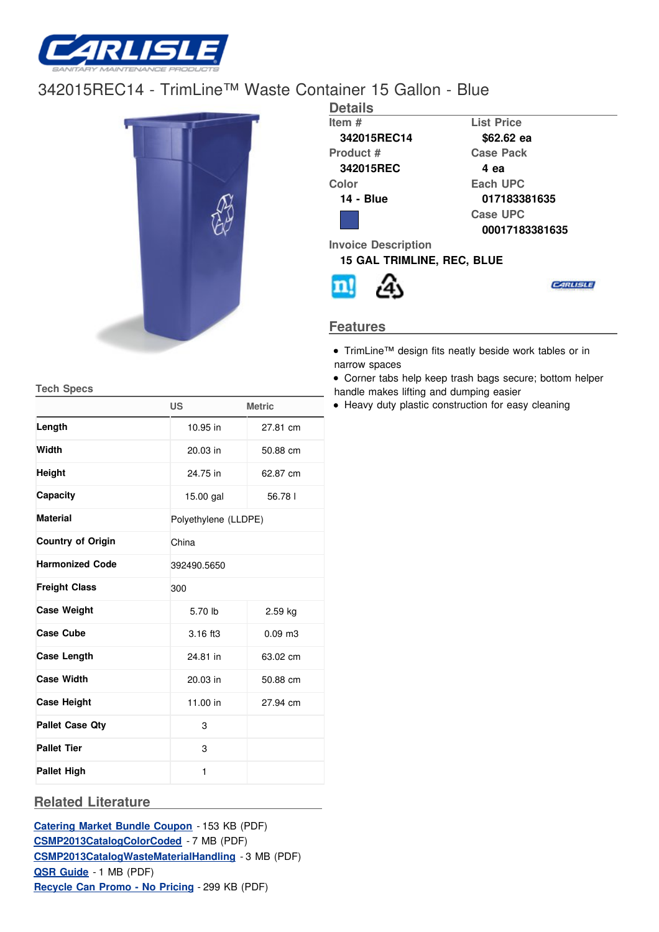

## [342015REC1](/)4 - TrimLine™ Waste Container 15 Gallon - Blue



| <b>Details</b>                    |                   |  |  |  |
|-----------------------------------|-------------------|--|--|--|
| Item #                            | <b>List Price</b> |  |  |  |
| 342015REC14                       | \$62.62 ea        |  |  |  |
| Product #                         | <b>Case Pack</b>  |  |  |  |
| 342015REC                         | 4 еа              |  |  |  |
| Color                             | Each UPC          |  |  |  |
| <b>14 - Blue</b>                  | 017183381635      |  |  |  |
|                                   | Case UPC          |  |  |  |
|                                   | 00017183381635    |  |  |  |
| <b>Invoice Description</b>        |                   |  |  |  |
| <b>15 GAL TRIMLINE, REC, BLUE</b> |                   |  |  |  |
|                                   |                   |  |  |  |

## **Features**

- TrimLine™ design fits neatly beside work tables or in narrow spaces
- Corner tabs help keep trash bags secure; bottom helper handle makes lifting and dumping easier
- Heavy duty plastic construction for easy cleaning

**Tech Specs**

|                          | <b>US</b>            | <b>Metric</b> |  |  |  |
|--------------------------|----------------------|---------------|--|--|--|
| Length                   | 10.95 in             | 27.81 cm      |  |  |  |
| Width                    | 20.03 in<br>50.88 cm |               |  |  |  |
| Height                   | 24.75 in<br>62.87 cm |               |  |  |  |
| Capacity                 | $15.00$ gal          | 56.781        |  |  |  |
| <b>Material</b>          | Polyethylene (LLDPE) |               |  |  |  |
| <b>Country of Origin</b> | China                |               |  |  |  |
| <b>Harmonized Code</b>   | 392490.5650          |               |  |  |  |
| <b>Freight Class</b>     | 300                  |               |  |  |  |
| <b>Case Weight</b>       | 5.70 lb              | $2.59$ kg     |  |  |  |
| <b>Case Cube</b>         | 3.16 ft3             | $0.09$ m $3$  |  |  |  |
| Case Length              | 24.81 in             | 63.02 cm      |  |  |  |
| <b>Case Width</b>        | 20.03 in             | 50.88 cm      |  |  |  |
| <b>Case Height</b>       | 11.00 in             | 27.94 cm      |  |  |  |
| <b>Pallet Case Qty</b>   | 3                    |               |  |  |  |
| <b>Pallet Tier</b>       | 3                    |               |  |  |  |
| <b>Pallet High</b>       | $\mathbf{1}$         |               |  |  |  |

## **Related Literature**

**[Catering](http://www.carlislefsp.com/files/bundle_coupon_PUBLISH.pdf) Market Bundle Coupon** - 153 KB (PDF) **[CSMP2013CatalogColorCoded](http://www.carlislefsp.com/files/07_ColorCoded_LR.pdf)** - 7 MB (PDF) **[CSMP2013CatalogWasteMaterialHandling](http://www.carlislefsp.com/files/01_WasteMaterialHandling_LR.pdf)** - 3 MB (PDF) **QSR [Guide](http://www.carlislefsp.com/files/FSP_QSR_Guide_PUBLISH.pdf)** - 1 MB (PDF) **[Recycle](http://www.carlislefsp.com/files/RecycleCanPromo_NOPRICING_PUBLISH.pdf) Can Promo - No Pricing** - 299 KB (PDF)